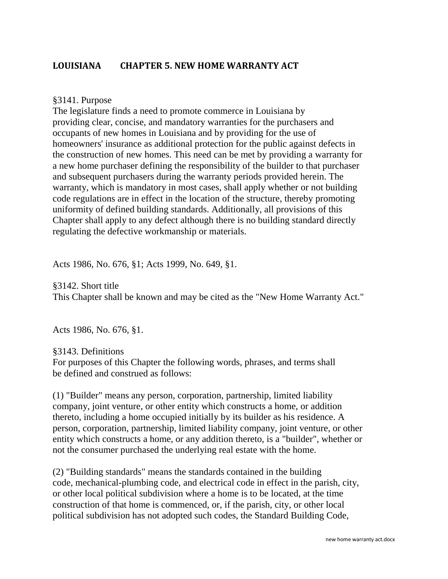## **LOUISIANA CHAPTER 5. NEW HOME WARRANTY ACT**

## §3141. Purpose

The legislature finds a need to promote commerce in Louisiana by providing clear, concise, and mandatory warranties for the purchasers and occupants of new homes in Louisiana and by providing for the use of homeowners' insurance as additional protection for the public against defects in the construction of new homes. This need can be met by providing a warranty for a new home purchaser defining the responsibility of the builder to that purchaser and subsequent purchasers during the warranty periods provided herein. The warranty, which is mandatory in most cases, shall apply whether or not building code regulations are in effect in the location of the structure, thereby promoting uniformity of defined building standards. Additionally, all provisions of this Chapter shall apply to any defect although there is no building standard directly regulating the defective workmanship or materials.

Acts 1986, No. 676, §1; Acts 1999, No. 649, §1.

§3142. Short title This Chapter shall be known and may be cited as the "New Home Warranty Act."

Acts 1986, No. 676, §1.

§3143. Definitions For purposes of this Chapter the following words, phrases, and terms shall be defined and construed as follows:

(1) "Builder" means any person, corporation, partnership, limited liability company, joint venture, or other entity which constructs a home, or addition thereto, including a home occupied initially by its builder as his residence. A person, corporation, partnership, limited liability company, joint venture, or other entity which constructs a home, or any addition thereto, is a "builder", whether or not the consumer purchased the underlying real estate with the home.

(2) "Building standards" means the standards contained in the building code, mechanical-plumbing code, and electrical code in effect in the parish, city, or other local political subdivision where a home is to be located, at the time construction of that home is commenced, or, if the parish, city, or other local political subdivision has not adopted such codes, the Standard Building Code,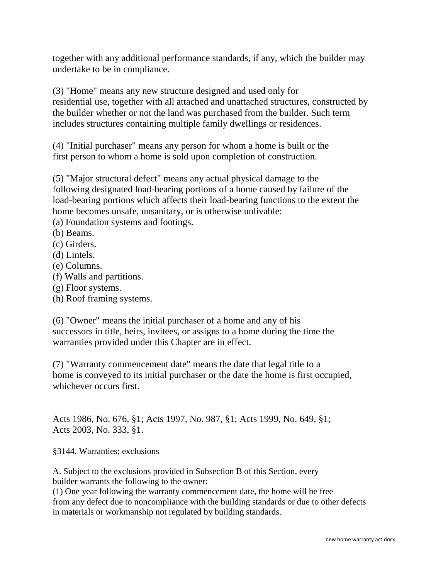together with any additional performance standards, if any, which the builder may undertake to be in compliance.

(3) "Home" means any new structure designed and used only for residential use, together with all attached and unattached structures, constructed by the builder whether or not the land was purchased from the builder. Such term includes structures containing multiple family dwellings or residences.

(4) "Initial purchaser" means any person for whom a home is built or the first person to whom a home is sold upon completion of construction.

(5) "Major structural defect" means any actual physical damage to the following designated load-bearing portions of a home caused by failure of the load-bearing portions which affects their load-bearing functions to the extent the home becomes unsafe, unsanitary, or is otherwise unlivable:

(a) Foundation systems and footings.

(b) Beams.

(c) Girders.

(d) Lintels.

(e) Columns.

(f) Walls and partitions.

(g) Floor systems.

(h) Roof framing systems.

(6) "Owner" means the initial purchaser of a home and any of his successors in title, heirs, invitees, or assigns to a home during the time the warranties provided under this Chapter are in effect.

(7) "Warranty commencement date" means the date that legal title to a home is conveyed to its initial purchaser or the date the home is first occupied, whichever occurs first.

Acts 1986, No. 676, §1; Acts 1997, No. 987, §1; Acts 1999, No. 649, §1; Acts 2003, No. 333, §1.

§3144. Warranties; exclusions

A. Subject to the exclusions provided in Subsection B of this Section, every builder warrants the following to the owner:

(1) One year following the warranty commencement date, the home will be free from any defect due to noncompliance with the building standards or due to other defects in materials or workmanship not regulated by building standards.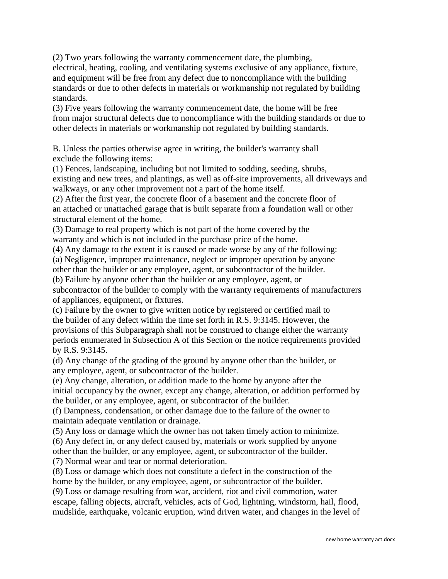(2) Two years following the warranty commencement date, the plumbing, electrical, heating, cooling, and ventilating systems exclusive of any appliance, fixture, and equipment will be free from any defect due to noncompliance with the building standards or due to other defects in materials or workmanship not regulated by building standards.

(3) Five years following the warranty commencement date, the home will be free from major structural defects due to noncompliance with the building standards or due to other defects in materials or workmanship not regulated by building standards.

B. Unless the parties otherwise agree in writing, the builder's warranty shall exclude the following items:

(1) Fences, landscaping, including but not limited to sodding, seeding, shrubs, existing and new trees, and plantings, as well as off-site improvements, all driveways and walkways, or any other improvement not a part of the home itself.

(2) After the first year, the concrete floor of a basement and the concrete floor of an attached or unattached garage that is built separate from a foundation wall or other structural element of the home.

(3) Damage to real property which is not part of the home covered by the warranty and which is not included in the purchase price of the home.

(4) Any damage to the extent it is caused or made worse by any of the following:

(a) Negligence, improper maintenance, neglect or improper operation by anyone

other than the builder or any employee, agent, or subcontractor of the builder.

(b) Failure by anyone other than the builder or any employee, agent, or subcontractor of the builder to comply with the warranty requirements of manufacturers of appliances, equipment, or fixtures.

(c) Failure by the owner to give written notice by registered or certified mail to the builder of any defect within the time set forth in R.S. 9:3145. However, the provisions of this Subparagraph shall not be construed to change either the warranty periods enumerated in Subsection A of this Section or the notice requirements provided by R.S. 9:3145.

(d) Any change of the grading of the ground by anyone other than the builder, or any employee, agent, or subcontractor of the builder.

(e) Any change, alteration, or addition made to the home by anyone after the initial occupancy by the owner, except any change, alteration, or addition performed by the builder, or any employee, agent, or subcontractor of the builder.

(f) Dampness, condensation, or other damage due to the failure of the owner to maintain adequate ventilation or drainage.

(5) Any loss or damage which the owner has not taken timely action to minimize.

(6) Any defect in, or any defect caused by, materials or work supplied by anyone

other than the builder, or any employee, agent, or subcontractor of the builder.

(7) Normal wear and tear or normal deterioration.

(8) Loss or damage which does not constitute a defect in the construction of the home by the builder, or any employee, agent, or subcontractor of the builder.

(9) Loss or damage resulting from war, accident, riot and civil commotion, water escape, falling objects, aircraft, vehicles, acts of God, lightning, windstorm, hail, flood, mudslide, earthquake, volcanic eruption, wind driven water, and changes in the level of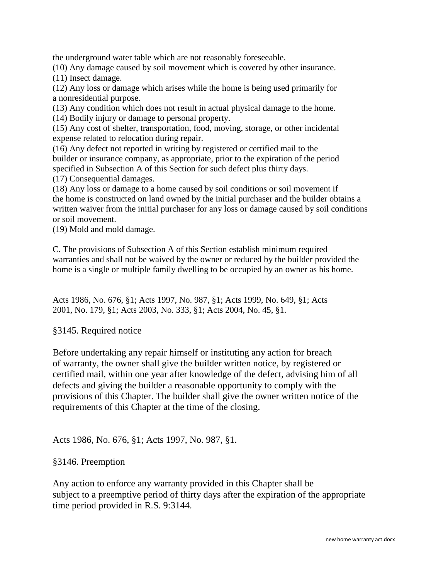the underground water table which are not reasonably foreseeable.

(10) Any damage caused by soil movement which is covered by other insurance. (11) Insect damage.

(12) Any loss or damage which arises while the home is being used primarily for a nonresidential purpose.

(13) Any condition which does not result in actual physical damage to the home. (14) Bodily injury or damage to personal property.

(15) Any cost of shelter, transportation, food, moving, storage, or other incidental expense related to relocation during repair.

(16) Any defect not reported in writing by registered or certified mail to the builder or insurance company, as appropriate, prior to the expiration of the period specified in Subsection A of this Section for such defect plus thirty days.

(17) Consequential damages.

(18) Any loss or damage to a home caused by soil conditions or soil movement if the home is constructed on land owned by the initial purchaser and the builder obtains a written waiver from the initial purchaser for any loss or damage caused by soil conditions or soil movement.

(19) Mold and mold damage.

C. The provisions of Subsection A of this Section establish minimum required warranties and shall not be waived by the owner or reduced by the builder provided the home is a single or multiple family dwelling to be occupied by an owner as his home.

Acts 1986, No. 676, §1; Acts 1997, No. 987, §1; Acts 1999, No. 649, §1; Acts 2001, No. 179, §1; Acts 2003, No. 333, §1; Acts 2004, No. 45, §1.

## §3145. Required notice

Before undertaking any repair himself or instituting any action for breach of warranty, the owner shall give the builder written notice, by registered or certified mail, within one year after knowledge of the defect, advising him of all defects and giving the builder a reasonable opportunity to comply with the provisions of this Chapter. The builder shall give the owner written notice of the requirements of this Chapter at the time of the closing.

Acts 1986, No. 676, §1; Acts 1997, No. 987, §1.

## §3146. Preemption

Any action to enforce any warranty provided in this Chapter shall be subject to a preemptive period of thirty days after the expiration of the appropriate time period provided in R.S. 9:3144.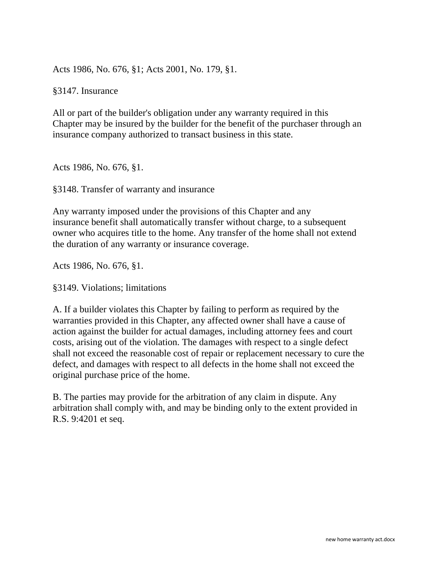Acts 1986, No. 676, §1; Acts 2001, No. 179, §1.

§3147. Insurance

All or part of the builder's obligation under any warranty required in this Chapter may be insured by the builder for the benefit of the purchaser through an insurance company authorized to transact business in this state.

Acts 1986, No. 676, §1.

§3148. Transfer of warranty and insurance

Any warranty imposed under the provisions of this Chapter and any insurance benefit shall automatically transfer without charge, to a subsequent owner who acquires title to the home. Any transfer of the home shall not extend the duration of any warranty or insurance coverage.

Acts 1986, No. 676, §1.

§3149. Violations; limitations

A. If a builder violates this Chapter by failing to perform as required by the warranties provided in this Chapter, any affected owner shall have a cause of action against the builder for actual damages, including attorney fees and court costs, arising out of the violation. The damages with respect to a single defect shall not exceed the reasonable cost of repair or replacement necessary to cure the defect, and damages with respect to all defects in the home shall not exceed the original purchase price of the home.

B. The parties may provide for the arbitration of any claim in dispute. Any arbitration shall comply with, and may be binding only to the extent provided in R.S. 9:4201 et seq.